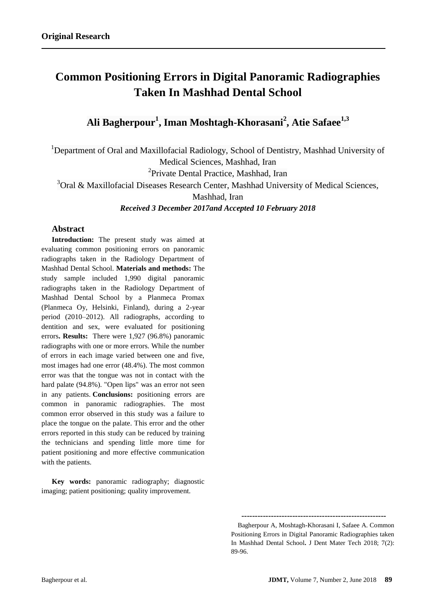# **Common Positioning Errors in Digital Panoramic Radiographies Taken In Mashhad Dental School**

# **Ali Bagherpour<sup>1</sup> , Iman Moshtagh-Khorasani<sup>2</sup> , Atie Safaee1,3**

<sup>1</sup>Department of Oral and Maxillofacial Radiology, School of Dentistry, Mashhad University of Medical Sciences, Mashhad, Iran

<sup>2</sup>Private Dental Practice, Mashhad, Iran

 $3$ Oral & Maxillofacial Diseases Research Center, Mashhad University of Medical Sciences,

Mashhad, Iran

*Received 3 December 2017and Accepted 10 February 2018*

# **Abstract**

**Introduction:** The present study was aimed at evaluating common positioning errors on panoramic radiographs taken in the Radiology Department of Mashhad Dental School. **Materials and methods:** The study sample included 1,990 digital panoramic radiographs taken in the Radiology Department of Mashhad Dental School by a Planmeca Promax (Planmeca Oy, Helsinki, Finland), during a 2-year period (2010–2012). All radiographs, according to dentition and sex, were evaluated for positioning errors**. Results:** There were 1,927 (96.8%) panoramic radiographs with one or more errors. While the number of errors in each image varied between one and five, most images had one error (48.4%). The most common error was that the tongue was not in contact with the hard palate (94.8%). "Open lips" was an error not seen in any patients. **Conclusions:** positioning errors are common in panoramic radiographies. The most common error observed in this study was a failure to place the tongue on the palate. This error and the other errors reported in this study can be reduced by training the technicians and spending little more time for patient positioning and more effective communication with the patients.

**Key words:** panoramic radiography; diagnostic imaging; patient positioning; quality improvement.

**------------------------------------------------------**

Bagherpour A, Moshtagh-Khorasani I, Safaee A. Common Positioning Errors in Digital Panoramic Radiographies taken In Mashhad Dental School**.** J Dent Mater Tech 2018; 7(2): 89-96.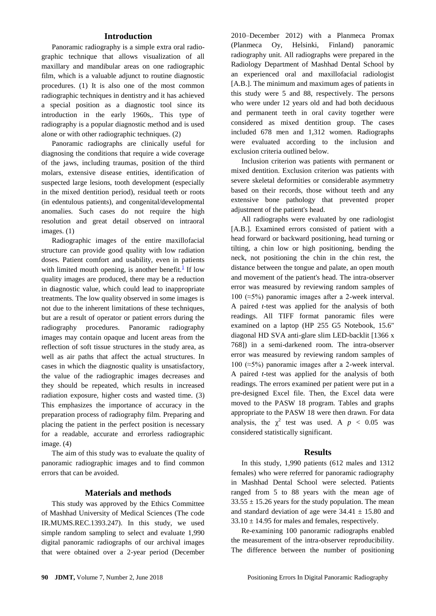#### **Introduction**

Panoramic radiography is a simple extra oral radiographic technique that allows visualization of all maxillary and mandibular areas on one radiographic film, which is a valuable adjunct to routine diagnostic procedures. (1) It is also one of the most common radiographic techniques in dentistry and it has achieved a special position as a diagnostic tool since its introduction in the early 1960s,. This type of radiography is a popular diagnostic method and is used alone or with other radiographic techniques. (2)

Panoramic radiographs are clinically useful for diagnosing the conditions that require a wide coverage of the jaws, including traumas, position of the third molars, extensive disease entities, identification of suspected large lesions, tooth development (especially in the mixed dentition period), residual teeth or roots (in edentulous patients), and congenital/developmental anomalies. Such cases do not require the high resolution and great detail observed on intraoral images. (1)

Radiographic images of the entire maxillofacial structure can provide good quality with low radiation doses. Patient comfort and usability, even in patients with limited mouth opening, is another benefit. $\frac{1}{1}$  If low quality images are produced, there may be a reduction in diagnostic value, which could lead to inappropriate treatments. The low quality observed in some images is not due to the inherent limitations of these techniques, but are a result of operator or patient errors during the radiography procedures. Panoramic radiography images may contain opaque and lucent areas from the reflection of soft tissue structures in the study area, as well as air paths that affect the actual structures. In cases in which the diagnostic quality is unsatisfactory, the value of the radiographic images decreases and they should be repeated, which results in increased radiation exposure, higher costs and wasted time. (3) This emphasizes the importance of accuracy in the preparation process of radiography film. Preparing and placing the patient in the perfect position is necessary for a readable, accurate and errorless radiographic image. (4)

The aim of this study was to evaluate the quality of panoramic radiographic images and to find common errors that can be avoided.

#### **Materials and methods**

This study was approved by the Ethics Committee of Mashhad University of Medical Sciences (The code IR.MUMS.REC.1393.247). In this study, we used simple random sampling to select and evaluate 1,990 digital panoramic radiographs of our archival images that were obtained over a 2-year period (December

2010–December 2012) with a Planmeca Promax (Planmeca Oy, Helsinki, Finland) panoramic radiography unit. All radiographs were prepared in the Radiology Department of Mashhad Dental School by an experienced oral and maxillofacial radiologist [A.B.]. The minimum and maximum ages of patients in this study were 5 and 88, respectively. The persons who were under 12 years old and had both deciduous and permanent teeth in oral cavity together were considered as mixed dentition group. The cases included 678 men and 1,312 women. Radiographs were evaluated according to the inclusion and exclusion criteria outlined below.

Inclusion criterion was patients with permanent or mixed dentition. Exclusion criterion was patients with severe skeletal deformities or considerable asymmetry based on their records, those without teeth and any extensive bone pathology that prevented proper adjustment of the patient's head.

All radiographs were evaluated by one radiologist [A.B.]. Examined errors consisted of patient with a head forward or backward positioning, head turning or tilting, a chin low or high positioning, bending the neck, not positioning the chin in the chin rest, the distance between the tongue and palate, an open mouth and movement of the patient's head. The intra-observer error was measured by reviewing random samples of 100 (≈5%) panoramic images after a 2-week interval. A paired *t*-test was applied for the analysis of both readings. All TIFF format panoramic files were examined on a laptop (HP 255 G5 Notebook, 15.6" diagonal HD SVA anti-glare slim LED-backlit [1366 x 768]) in a semi-darkened room. The intra-observer error was measured by reviewing random samples of 100 (≈5%) panoramic images after a 2-week interval. A paired *t*-test was applied for the analysis of both readings. The errors examined per patient were put in a pre-designed Excel file. Then, the Excel data were moved to the PASW 18 program. Tables and graphs appropriate to the PASW 18 were then drawn. For data analysis, the  $\chi^2$  test was used. A  $p < 0.05$  was considered statistically significant.

#### **Results**

In this study, 1,990 patients (612 males and 1312 females) who were referred for panoramic radiography in Mashhad Dental School were selected. Patients ranged from 5 to 88 years with the mean age of  $33.55 \pm 15.26$  years for the study population. The mean and standard deviation of age were  $34.41 \pm 15.80$  and  $33.10 \pm 14.95$  for males and females, respectively.

Re-examining 100 panoramic radiographs enabled the measurement of the intra-observer reproducibility. The difference between the number of positioning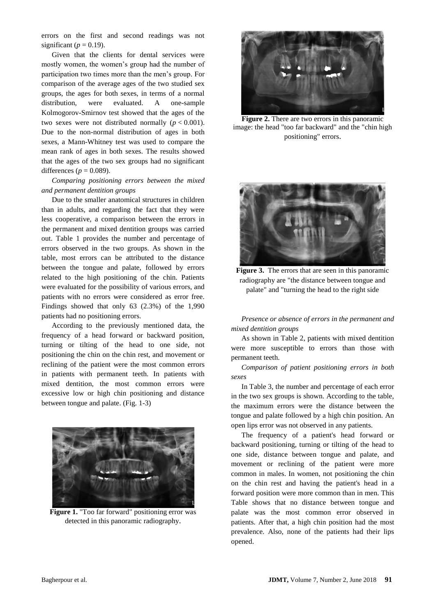errors on the first and second readings was not significant ( $p = 0.19$ ).

Given that the clients for dental services were mostly women, the women's group had the number of participation two times more than the men's group. For comparison of the average ages of the two studied sex groups, the ages for both sexes, in terms of a normal distribution, were evaluated. A one-sample Kolmogorov-Smirnov test showed that the ages of the two sexes were not distributed normally  $(p < 0.001)$ . Due to the non-normal distribution of ages in both sexes, a Mann-Whitney test was used to compare the mean rank of ages in both sexes. The results showed that the ages of the two sex groups had no significant differences ( $p = 0.089$ ).

# *Comparing positioning errors between the mixed and permanent dentition groups*

Due to the smaller anatomical structures in children than in adults, and regarding the fact that they were less cooperative, a comparison between the errors in the permanent and mixed dentition groups was carried out. Table 1 provides the number and percentage of errors observed in the two groups. As shown in the table, most errors can be attributed to the distance between the tongue and palate, followed by errors related to the high positioning of the chin. Patients were evaluated for the possibility of various errors, and patients with no errors were considered as error free. Findings showed that only 63 (2.3%) of the 1,990 patients had no positioning errors.

According to the previously mentioned data, the frequency of a head forward or backward position, turning or tilting of the head to one side, not positioning the chin on the chin rest, and movement or reclining of the patient were the most common errors in patients with permanent teeth. In patients with mixed dentition, the most common errors were excessive low or high chin positioning and distance between tongue and palate. (Fig. 1-3)



**Figure 1.** "Too far forward" positioning error was detected in this panoramic radiography.



**Figure 2.** There are two errors in this panoramic image: the head "too far backward" and the "chin high positioning" errors.



**Figure 3.** The errors that are seen in this panoramic radiography are "the distance between tongue and palate" and "turning the head to the right side

*Presence or absence of errors in the permanent and mixed dentition groups* 

As shown in Table 2, patients with mixed dentition were more susceptible to errors than those with permanent teeth.

*Comparison of patient positioning errors in both sexes*

In Table 3, the number and percentage of each error in the two sex groups is shown. According to the table, the maximum errors were the distance between the tongue and palate followed by a high chin position. An open lips error was not observed in any patients.

The frequency of a patient's head forward or backward positioning, turning or tilting of the head to one side, distance between tongue and palate, and movement or reclining of the patient were more common in males. In women, not positioning the chin on the chin rest and having the patient's head in a forward position were more common than in men. This Table shows that no distance between tongue and palate was the most common error observed in patients. After that, a high chin position had the most prevalence. Also, none of the patients had their lips opened.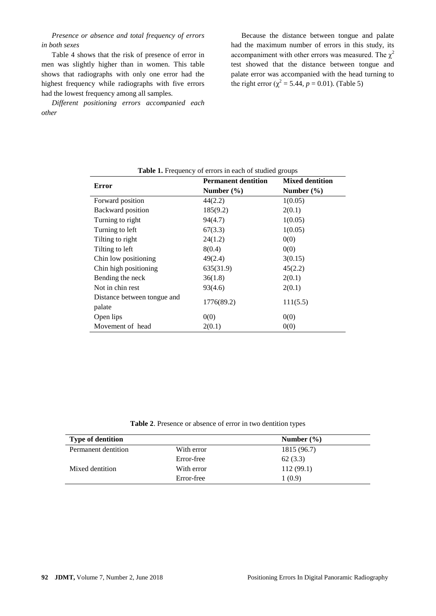*Presence or absence and total frequency of errors in both sexes*

Table 4 shows that the risk of presence of error in men was slightly higher than in women. This table shows that radiographs with only one error had the highest frequency while radiographs with five errors had the lowest frequency among all samples.

*Different positioning errors accompanied each other*

Because the distance between tongue and palate had the maximum number of errors in this study, its accompaniment with other errors was measured. The  $\chi^2$ test showed that the distance between tongue and palate error was accompanied with the head turning to the right error ( $\chi^2$  = 5.44, *p* = 0.01). (Table 5)

| <b>Table 1.</b> Frequency of errors in each of studied groups |                            |                                          |  |
|---------------------------------------------------------------|----------------------------|------------------------------------------|--|
| <b>Error</b>                                                  | <b>Permanent dentition</b> | <b>Mixed dentition</b><br>Number $(\% )$ |  |
|                                                               | Number $(\% )$             |                                          |  |
| Forward position                                              | 44(2.2)                    | 1(0.05)                                  |  |
| Backward position                                             | 185(9.2)                   | 2(0.1)                                   |  |
| Turning to right                                              | 94(4.7)                    | 1(0.05)                                  |  |
| Turning to left                                               | 67(3.3)                    | 1(0.05)                                  |  |
| Tilting to right                                              | 24(1.2)                    | 0(0)                                     |  |
| Tilting to left                                               | 8(0.4)                     | 0(0)                                     |  |
| Chin low positioning                                          | 49(2.4)                    | 3(0.15)                                  |  |
| Chin high positioning                                         | 635(31.9)                  | 45(2.2)                                  |  |
| Bending the neck                                              | 36(1.8)                    | 2(0.1)                                   |  |
| Not in chin rest                                              | 93(4.6)                    | 2(0.1)                                   |  |
| Distance between tongue and                                   |                            |                                          |  |
| palate                                                        |                            |                                          |  |
| Open lips                                                     | 0(0)                       | 0(0)                                     |  |
| Movement of head                                              | 2(0.1)                     | 0(0)                                     |  |
|                                                               | 1776(89.2)                 | 111(5.5)                                 |  |

| Table 1. Frequency of errors in each of studied groups |  |
|--------------------------------------------------------|--|
|--------------------------------------------------------|--|

**Table 2**. Presence or absence of error in two dentition types

| <b>Type of dentition</b> |            | Number $(\% )$ |  |
|--------------------------|------------|----------------|--|
| Permanent dentition      | With error | 1815 (96.7)    |  |
|                          | Error-free | 62(3.3)        |  |
| Mixed dentition          | With error | 112(99.1)      |  |
|                          | Error-free | 1(0.9)         |  |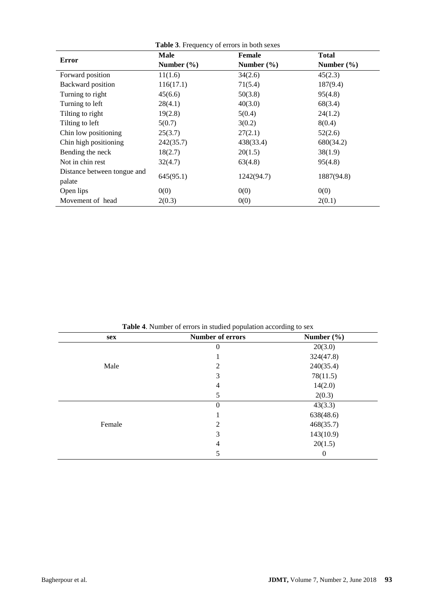| <b>Error</b>                          | <b>Male</b>    | <b>Female</b>  | Total          |  |
|---------------------------------------|----------------|----------------|----------------|--|
|                                       | Number $(\% )$ | Number $(\% )$ | Number $(\% )$ |  |
| Forward position                      | 11(1.6)        | 34(2.6)        | 45(2.3)        |  |
| Backward position                     | 116(17.1)      | 71(5.4)        | 187(9.4)       |  |
| Turning to right                      | 45(6.6)        | 50(3.8)        | 95(4.8)        |  |
| Turning to left                       | 28(4.1)        | 40(3.0)        | 68(3.4)        |  |
| Tilting to right                      | 19(2.8)        | 5(0.4)         | 24(1.2)        |  |
| Tilting to left                       | 5(0.7)         | 3(0.2)         | 8(0.4)         |  |
| Chin low positioning                  | 25(3.7)        | 27(2.1)        | 52(2.6)        |  |
| Chin high positioning                 | 242(35.7)      | 438(33.4)      | 680(34.2)      |  |
| Bending the neck                      | 18(2.7)        | 20(1.5)        | 38(1.9)        |  |
| Not in chin rest                      | 32(4.7)        | 63(4.8)        | 95(4.8)        |  |
| Distance between tongue and<br>palate | 645(95.1)      | 1242(94.7)     | 1887(94.8)     |  |
| Open lips                             | 0(0)           | 0(0)           | 0(0)           |  |
| Movement of head                      | 2(0.3)         | 0(0)           | 2(0.1)         |  |

| sex    | Number of errors | Number $(\% )$ |
|--------|------------------|----------------|
|        | $\theta$         | 20(3.0)        |
|        |                  | 324(47.8)      |
| Male   | 2                | 240(35.4)      |
|        | 3                | 78(11.5)       |
|        | 4                | 14(2.0)        |
|        | 5                | 2(0.3)         |
|        | 0                | 43(3.3)        |
|        |                  | 638(48.6)      |
| Female | 2                | 468(35.7)      |
|        | 3                | 143(10.9)      |
|        | 4                | 20(1.5)        |
|        | 5                | 0              |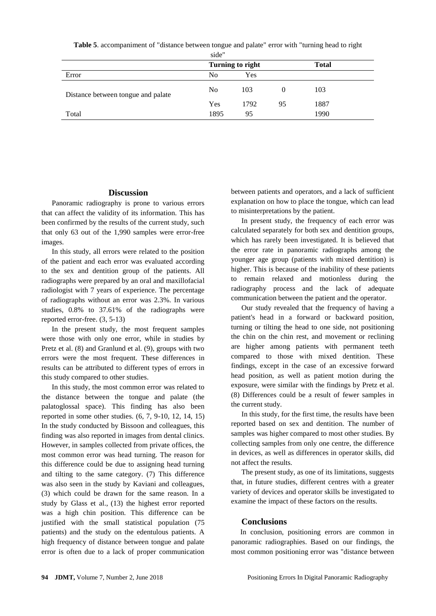| Error                              | Turning to right |      |    | <b>Total</b> |  |
|------------------------------------|------------------|------|----|--------------|--|
|                                    | No               | Yes  |    |              |  |
| Distance between tongue and palate | No               | 103  |    | 103          |  |
|                                    | Yes              | 1792 | 95 | 1887         |  |
| Total                              | 1895             | 95   |    | 1990         |  |

**Table 5**. accompaniment of "distance between tongue and palate" error with "turning head to right side"

# **Discussion**

Panoramic radiography is prone to various errors that can affect the validity of its information. This has been confirmed by the results of the current study, such that only 63 out of the 1,990 samples were error-free images.

In this study, all errors were related to the position of the patient and each error was evaluated according to the sex and dentition group of the patients. All radiographs were prepared by an oral and maxillofacial radiologist with 7 years of experience. The percentage of radiographs without an error was 2.3%. In various studies, 0.8% to 37.61% of the radiographs were reported error-free. (3, 5-13)

In the present study, the most frequent samples were those with only one error, while in studies by Pretz et al. (8) and Granlund et al. (9), groups with two errors were the most frequent. These differences in results can be attributed to different types of errors in this study compared to other studies.

In this study, the most common error was related to the distance between the tongue and palate (the palatoglossal space). This finding has also been reported in some other studies. (6, 7, 9-10, 12, 14, 15) In the study conducted by Bissoon and colleagues, this finding was also reported in images from dental clinics. However, in samples collected from private offices, the most common error was head turning. The reason for this difference could be due to assigning head turning and tilting to the same category. (7) This difference was also seen in the study by Kaviani and colleagues, (3) which could be drawn for the same reason. In a study by Glass et al., (13) the highest error reported was a high chin position. This difference can be justified with the small statistical population (75 patients) and the study on the edentulous patients. A high frequency of distance between tongue and palate error is often due to a lack of proper communication

between patients and operators, and a lack of sufficient explanation on how to place the tongue, which can lead to misinterpretations by the patient.

In present study, the frequency of each error was calculated separately for both sex and dentition groups, which has rarely been investigated. It is believed that the error rate in panoramic radiographs among the younger age group (patients with mixed dentition) is higher. This is because of the inability of these patients to remain relaxed and motionless during the radiography process and the lack of adequate communication between the patient and the operator.

Our study revealed that the frequency of having a patient's head in a forward or backward position, turning or tilting the head to one side, not positioning the chin on the chin rest, and movement or reclining are higher among patients with permanent teeth compared to those with mixed dentition. These findings, except in the case of an excessive forward head position, as well as patient motion during the exposure, were similar with the findings by Pretz et al. (8) Differences could be a result of fewer samples in the current study.

In this study, for the first time, the results have been reported based on sex and dentition. The number of samples was higher compared to most other studies. By collecting samples from only one centre, the difference in devices, as well as differences in operator skills, did not affect the results.

The present study, as one of its limitations, suggests that, in future studies, different centres with a greater variety of devices and operator skills be investigated to examine the impact of these factors on the results.

# **Conclusions**

 In conclusion, positioning errors are common in panoramic radiographies. Based on our findings, the most common positioning error was "distance between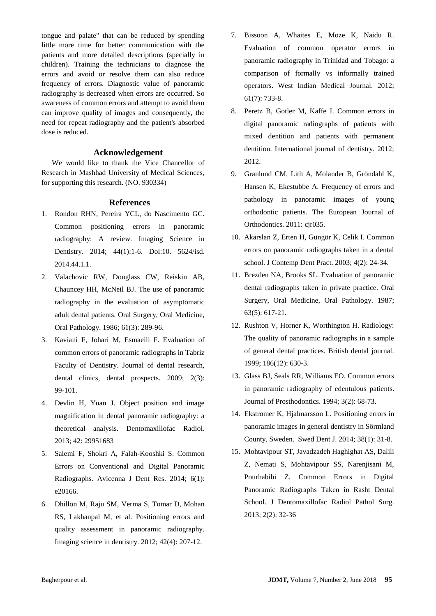tongue and palate" that can be reduced by spending little more time for better communication with the patients and more detailed descriptions (specially in children). Training the technicians to diagnose the errors and avoid or resolve them can also reduce frequency of errors. Diagnostic value of panoramic radiography is decreased when errors are occurred. So awareness of common errors and attempt to avoid them can improve quality of images and consequently, the need for repeat radiography and the patient's absorbed dose is reduced.

#### **Acknowledgement**

We would like to thank the Vice Chancellor of Research in Mashhad University of Medical Sciences, for supporting this research. (NO. 930334)

#### **References**

- 1. Rondon RHN, Pereira YCL, do Nascimento GC. Common positioning errors in panoramic radiography: A review. Imaging Science in Dentistry. 2014; 44(1):1-6. Doi:10. 5624/isd. 2014.44.1.1.
- 2. Valachovic RW, Douglass CW, Reiskin AB, Chauncey HH, McNeil BJ. The use of panoramic radiography in the evaluation of asymptomatic adult dental patients. Oral Surgery, Oral Medicine, Oral Pathology. 1986; 61(3): 289-96.
- 3. Kaviani F, Johari M, Esmaeili F. Evaluation of common errors of panoramic radiographs in Tabriz Faculty of Dentistry. Journal of dental research, dental clinics, dental prospects. 2009; 2(3): 99-101.
- 4. Devlin H, Yuan J. Object position and image magnification in dental panoramic radiography: a theoretical analysis. Dentomaxillofac Radiol. 2013; 42: 29951683
- 5. Salemi F, Shokri A, Falah-Kooshki S. Common Errors on Conventional and Digital Panoramic Radiographs. Avicenna J Dent Res. 2014; 6(1): e20166.
- 6. Dhillon M, Raju SM, Verma S, Tomar D, Mohan RS, Lakhanpal M, et al. Positioning errors and quality assessment in panoramic radiography. Imaging science in dentistry. 2012; 42(4): 207-12.
- 7. Bissoon A, Whaites E, Moze K, Naidu R. Evaluation of common operator errors in panoramic radiography in Trinidad and Tobago: a comparison of formally vs informally trained operators. West Indian Medical Journal. 2012; 61(7): 733-8.
- 8. Peretz B, Gotler M, Kaffe I. Common errors in digital panoramic radiographs of patients with mixed dentition and patients with permanent dentition. International journal of dentistry. 2012; 2012.
- 9. Granlund CM, Lith A, Molander B, Gröndahl K, Hansen K, Ekestubbe A. Frequency of errors and pathology in panoramic images of young orthodontic patients. The European Journal of Orthodontics. 2011: cjr035.
- 10. Akarslan Z, Erten H, Güngör K, Celik I. Common errors on panoramic radiographs taken in a dental school. J Contemp Dent Pract. 2003; 4(2): 24-34.
- 11. Brezden NA, Brooks SL. Evaluation of panoramic dental radiographs taken in private practice. Oral Surgery, Oral Medicine, Oral Pathology. 1987; 63(5): 617-21.
- 12. Rushton V, Horner K, Worthington H. Radiology: The quality of panoramic radiographs in a sample of general dental practices. British dental journal. 1999; 186(12): 630-3.
- 13. Glass BJ, Seals RR, Williams EO. Common errors in panoramic radiography of edentulous patients. Journal of Prosthodontics. 1994; 3(2): 68-73.
- 14. Ekstromer K, Hjalmarsson L. Positioning errors in panoramic images in general dentistry in Sörmland County, Sweden. Swed Dent J. 2014; 38(1): 31-8.
- 15. Mohtavipour ST, Javadzadeh Haghighat AS, Dalili Z, Nemati S, Mohtavipour SS, Narenjisani M, Pourhabibi Z. Common Errors in Digital Panoramic Radiographs Taken in Rasht Dental School. J Dentomaxillofac Radiol Pathol Surg. 2013; 2(2): 32-36